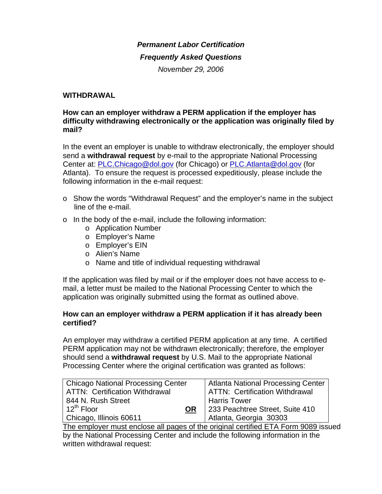# *Permanent Labor Certification*

#### *Frequently Asked Questions*

*November 29, 2006* 

### **WITHDRAWAL**

### **How can an employer withdraw a PERM application if the employer has difficulty withdrawing electronically or the application was originally filed by mail?**

In the event an employer is unable to withdraw electronically, the employer should send a **withdrawal request** by e-mail to the appropriate National Processing Center at: [PLC.Chicago@dol.gov](mailto:PLC.Chicago@dol.gov) (for Chicago) or [PLC.Atlanta@dol.gov](mailto:PLC.Atlanta@dol.gov) (for Atlanta). To ensure the request is processed expeditiously, please include the following information in the e-mail request:

- o Show the words "Withdrawal Request" and the employer's name in the subject line of the e-mail.
- o In the body of the e-mail, include the following information:
	- o Application Number
	- o Employer's Name
	- o Employer's EIN
	- o Alien's Name
	- o Name and title of individual requesting withdrawal

If the application was filed by mail or if the employer does not have access to email, a letter must be mailed to the National Processing Center to which the application was originally submitted using the format as outlined above.

#### **How can an employer withdraw a PERM application if it has already been certified?**

An employer may withdraw a certified PERM application at any time. A certified PERM application may not be withdrawn electronically; therefore, the employer should send a **withdrawal request** by U.S. Mail to the appropriate National Processing Center where the original certification was granted as follows:

| <b>Chicago National Processing Center</b>                                                | <b>Atlanta National Processing Center</b> |
|------------------------------------------------------------------------------------------|-------------------------------------------|
| <b>ATTN: Certification Withdrawal</b>                                                    | <b>ATTN: Certification Withdrawal</b>     |
| 844 N. Rush Street                                                                       | <b>Harris Tower</b>                       |
| $12^{th}$ Floor<br>OR.                                                                   | 233 Peachtree Street, Suite 410           |
| Chicago, Illinois 60611                                                                  | Atlanta, Georgia 30303                    |
| The example is a second explorer of spence of the existing examified FTA Fewer 0000 tool |                                           |

The employer must enclose all pages of the original certified ETA Form 9089 issued by the National Processing Center and include the following information in the written withdrawal request: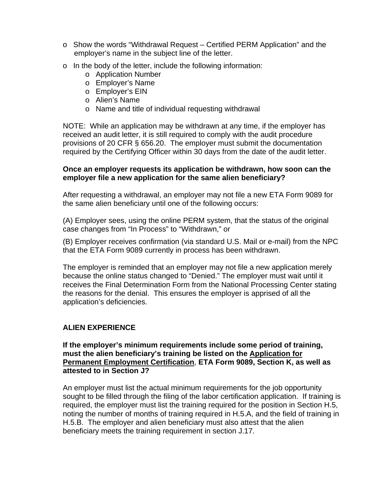- o Show the words "Withdrawal Request Certified PERM Application" and the employer's name in the subject line of the letter.
- o In the body of the letter, include the following information:
	- o Application Number
	- o Employer's Name
	- o Employer's EIN
	- o Alien's Name
	- o Name and title of individual requesting withdrawal

NOTE: While an application may be withdrawn at any time, if the employer has received an audit letter, it is still required to comply with the audit procedure provisions of 20 CFR § 656.20. The employer must submit the documentation required by the Certifying Officer within 30 days from the date of the audit letter.

### **Once an employer requests its application be withdrawn, how soon can the employer file a new application for the same alien beneficiary?**

After requesting a withdrawal, an employer may not file a new ETA Form 9089 for the same alien beneficiary until one of the following occurs:

(A) Employer sees, using the online PERM system, that the status of the original case changes from "In Process" to "Withdrawn," or

(B) Employer receives confirmation (via standard U.S. Mail or e-mail) from the NPC that the ETA Form 9089 currently in process has been withdrawn.

The employer is reminded that an employer may not file a new application merely because the online status changed to "Denied." The employer must wait until it receives the Final Determination Form from the National Processing Center stating the reasons for the denial. This ensures the employer is apprised of all the application's deficiencies.

# **ALIEN EXPERIENCE**

**If the employer's minimum requirements include some period of training, must the alien beneficiary's training be listed on the Application for Permanent Employment Certification**, **ETA Form 9089, Section K, as well as attested to in Section J?** 

An employer must list the actual minimum requirements for the job opportunity sought to be filled through the filing of the labor certification application. If training is required, the employer must list the training required for the position in Section H.5, noting the number of months of training required in H.5.A, and the field of training in H.5.B. The employer and alien beneficiary must also attest that the alien beneficiary meets the training requirement in section J.17.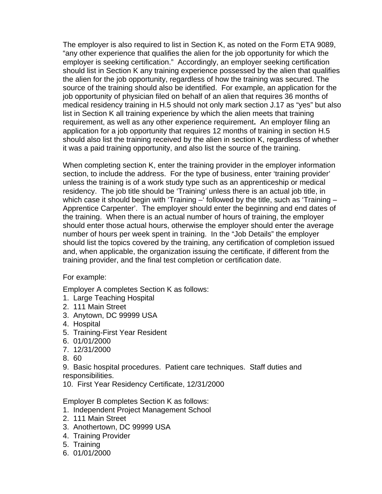The employer is also required to list in Section K, as noted on the Form ETA 9089, "any other experience that qualifies the alien for the job opportunity for which the employer is seeking certification." Accordingly, an employer seeking certification should list in Section K any training experience possessed by the alien that qualifies the alien for the job opportunity, regardless of how the training was secured. The source of the training should also be identified. For example, an application for the job opportunity of physician filed on behalf of an alien that requires 36 months of medical residency training in H.5 should not only mark section J.17 as "yes" but also list in Section K all training experience by which the alien meets that training requirement, as well as any other experience requirement**.** An employer filing an application for a job opportunity that requires 12 months of training in section H.5 should also list the training received by the alien in section K, regardless of whether it was a paid training opportunity, and also list the source of the training.

When completing section K, enter the training provider in the employer information section, to include the address. For the type of business, enter 'training provider' unless the training is of a work study type such as an apprenticeship or medical residency. The job title should be 'Training' unless there is an actual job title, in which case it should begin with 'Training –' followed by the title, such as 'Training – Apprentice Carpenter'. The employer should enter the beginning and end dates of the training. When there is an actual number of hours of training, the employer should enter those actual hours, otherwise the employer should enter the average number of hours per week spent in training. In the "Job Details" the employer should list the topics covered by the training, any certification of completion issued and, when applicable, the organization issuing the certificate, if different from the training provider, and the final test completion or certification date.

For example:

Employer A completes Section K as follows:

- 1. Large Teaching Hospital
- 2. 111 Main Street
- 3. Anytown, DC 99999 USA
- 4. Hospital
- 5. Training-First Year Resident
- 6. 01/01/2000
- 7. 12/31/2000
- 8. 60

9. Basic hospital procedures. Patient care techniques. Staff duties and responsibilities.

10. First Year Residency Certificate, 12/31/2000

Employer B completes Section K as follows:

- 1. Independent Project Management School
- 2. 111 Main Street
- 3. Anothertown, DC 99999 USA
- 4. Training Provider
- 5. Training
- 6. 01/01/2000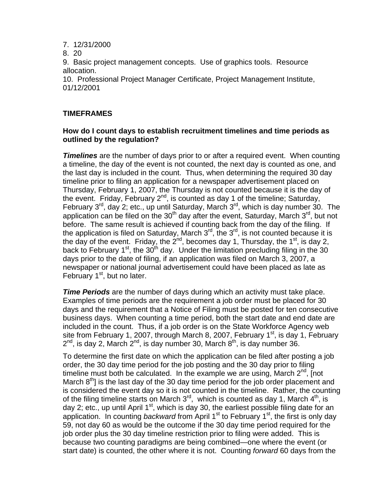7. 12/31/2000

8. 20

9. Basic project management concepts. Use of graphics tools. Resource allocation.

10. Professional Project Manager Certificate, Project Management Institute, 01/12/2001

## **TIMEFRAMES**

### **How do I count days to establish recruitment timelines and time periods as outlined by the regulation?**

**Timelines** are the number of days prior to or after a required event. When counting a timeline, the day of the event is not counted, the next day is counted as one, and the last day is included in the count. Thus, when determining the required 30 day timeline prior to filing an application for a newspaper advertisement placed on Thursday, February 1, 2007, the Thursday is not counted because it is the day of the event. Friday, February  $2^{nd}$ , is counted as day 1 of the timeline; Saturday, February  $3^{rd}$ , day 2; etc., up until Saturday, March  $3^{rd}$ , which is day number 30. The application can be filed on the  $30<sup>th</sup>$  day after the event, Saturday, March  $3<sup>rd</sup>$ , but not before. The same result is achieved if counting back from the day of the filing. If the application is filed on Saturday, March  $3^{rd}$ , the  $3^{rd}$ , is not counted because it is the day of the event. Friday, the  $2^{nd}$ , becomes day 1, Thursday, the 1<sup>st</sup>, is day 2, back to February 1<sup>st</sup>, the  $30<sup>th</sup>$  day. Under the limitation precluding filing in the 30 days prior to the date of filing, if an application was filed on March 3, 2007, a newspaper or national journal advertisement could have been placed as late as February  $1<sup>st</sup>$ , but no later.

*Time Periods* are the number of days during which an activity must take place. Examples of time periods are the requirement a job order must be placed for 30 days and the requirement that a Notice of Filing must be posted for ten consecutive business days. When counting a time period, both the start date and end date are included in the count. Thus, if a job order is on the State Workforce Agency web site from February 1, 2007, through March 8, 2007, February  $1<sup>st</sup>$ , is day 1, February  $2<sup>nd</sup>$ , is day 2, March  $2<sup>nd</sup>$ , is day number 30, March  $8<sup>th</sup>$ , is day number 36.

To determine the first date on which the application can be filed after posting a job order, the 30 day time period for the job posting and the 30 day prior to filing timeline must both be calculated. In the example we are using, March  $2^{nd}$ , [not March  $8<sup>th</sup>$ ] is the last day of the 30 day time period for the job order placement and is considered the event day so it is not counted in the timeline. Rather, the counting of the filing timeline starts on March  $3<sup>rd</sup>$ , which is counted as day 1, March  $4<sup>th</sup>$ , is day 2; etc., up until April  $1<sup>st</sup>$ , which is day 30, the earliest possible filing date for an application. In counting *backward* from April 1<sup>st</sup> to February 1<sup>st</sup>, the first is only day 59, not day 60 as would be the outcome if the 30 day time period required for the job order plus the 30 day timeline restriction prior to filing were added. This is because two counting paradigms are being combined—one where the event (or start date) is counted, the other where it is not. Counting *forward* 60 days from the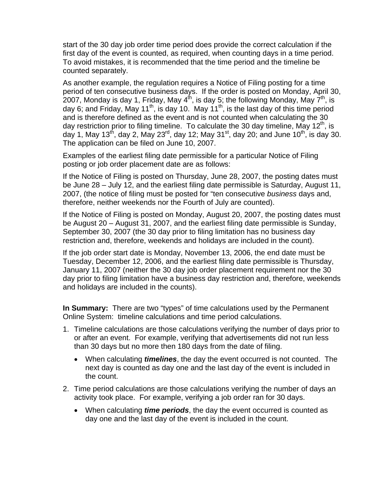start of the 30 day job order time period does provide the correct calculation if the first day of the event is counted, as required, when counting days in a time period. To avoid mistakes, it is recommended that the time period and the timeline be counted separately.

As another example, the regulation requires a Notice of Filing posting for a time period of ten consecutive business days. If the order is posted on Monday, April 30, 2007, Monday is day 1, Friday, May  $4<sup>th</sup>$ , is day 5; the following Monday, May  $7<sup>th</sup>$ , is day 6; and Friday, May 11<sup>th</sup>, is day 10. May 11<sup>th</sup>, is the last day of this time period and is therefore defined as the event and is not counted when calculating the 30 day restriction prior to filing timeline. To calculate the 30 day timeline, May 12<sup>th</sup>, is day 1, May 13<sup>th</sup>, day 2, May 23<sup>rd</sup>, day 12; May 31<sup>st</sup>, day 20; and June 10<sup>th</sup>, is day 30. The application can be filed on June 10, 2007.

Examples of the earliest filing date permissible for a particular Notice of Filing posting or job order placement date are as follows:

If the Notice of Filing is posted on Thursday, June 28, 2007, the posting dates must be June 28 – July 12, and the earliest filing date permissible is Saturday, August 11, 2007, (the notice of filing must be posted for "ten consecutive *business* days and, therefore, neither weekends nor the Fourth of July are counted).

If the Notice of Filing is posted on Monday, August 20, 2007, the posting dates must be August 20 – August 31, 2007, and the earliest filing date permissible is Sunday, September 30, 2007 (the 30 day prior to filing limitation has no business day restriction and, therefore, weekends and holidays are included in the count).

If the job order start date is Monday, November 13, 2006, the end date must be Tuesday, December 12, 2006, and the earliest filing date permissible is Thursday, January 11, 2007 (neither the 30 day job order placement requirement nor the 30 day prior to filing limitation have a business day restriction and, therefore, weekends and holidays are included in the counts).

**In Summary:** There are two "types" of time calculations used by the Permanent Online System: timeline calculations and time period calculations.

- 1. Timeline calculations are those calculations verifying the number of days prior to or after an event. For example, verifying that advertisements did not run less than 30 days but no more then 180 days from the date of filing.
	- When calculating *timelines*, the day the event occurred is not counted. The next day is counted as day one and the last day of the event is included in the count.
- 2. Time period calculations are those calculations verifying the number of days an activity took place. For example, verifying a job order ran for 30 days.
	- When calculating *time periods*, the day the event occurred is counted as day one and the last day of the event is included in the count.